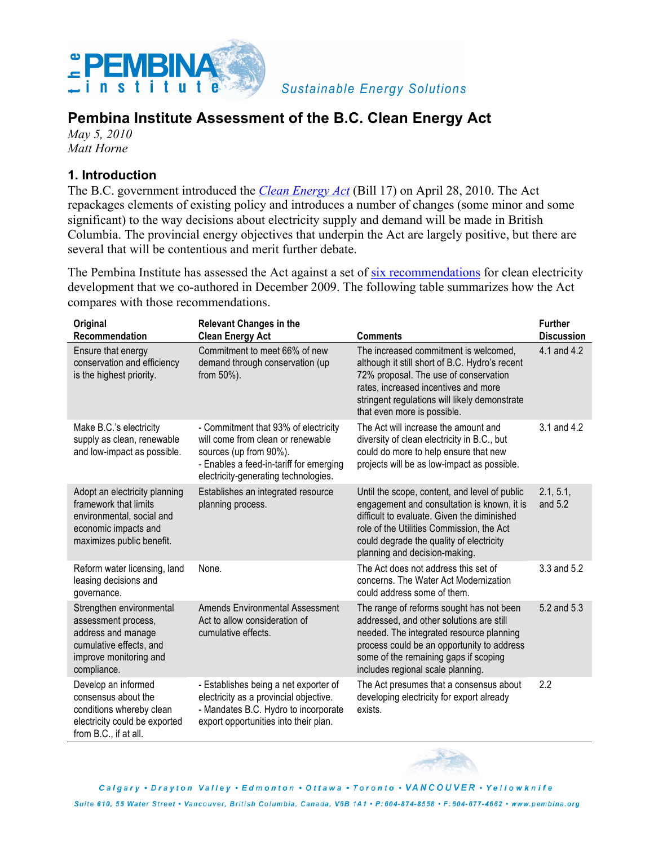

**Sustainable Energy Solutions** 

# **Pembina Institute Assessment of the B.C. Clean Energy Act**

*May 5, 2010 Matt Horne*

#### **1. Introduction**

The B.C. government introduced the *Clean Energy Act* (Bill 17) on April 28, 2010. The Act repackages elements of existing policy and introduces a number of changes (some minor and some significant) to the way decisions about electricity supply and demand will be made in British Columbia. The provincial energy objectives that underpin the Act are largely positive, but there are several that will be contentious and merit further debate.

The Pembina Institute has assessed the Act against a set of six recommendations for clean electricity development that we co-authored in December 2009. The following table summarizes how the Act compares with those recommendations.

| Original                                                                                                                                  | <b>Relevant Changes in the</b>                                                                                                                                                         |                                                                                                                                                                                                                                                                       | <b>Further</b>       |
|-------------------------------------------------------------------------------------------------------------------------------------------|----------------------------------------------------------------------------------------------------------------------------------------------------------------------------------------|-----------------------------------------------------------------------------------------------------------------------------------------------------------------------------------------------------------------------------------------------------------------------|----------------------|
| Recommendation                                                                                                                            | <b>Clean Energy Act</b>                                                                                                                                                                | <b>Comments</b>                                                                                                                                                                                                                                                       | <b>Discussion</b>    |
| Ensure that energy<br>conservation and efficiency<br>is the highest priority.                                                             | Commitment to meet 66% of new<br>demand through conservation (up<br>from $50\%$ ).                                                                                                     | The increased commitment is welcomed,<br>although it still short of B.C. Hydro's recent<br>72% proposal. The use of conservation<br>rates, increased incentives and more<br>stringent regulations will likely demonstrate<br>that even more is possible.              | 4.1 and 4.2          |
| Make B.C.'s electricity<br>supply as clean, renewable<br>and low-impact as possible.                                                      | - Commitment that 93% of electricity<br>will come from clean or renewable<br>sources (up from 90%).<br>- Enables a feed-in-tariff for emerging<br>electricity-generating technologies. | The Act will increase the amount and<br>diversity of clean electricity in B.C., but<br>could do more to help ensure that new<br>projects will be as low-impact as possible.                                                                                           | 3.1 and 4.2          |
| Adopt an electricity planning<br>framework that limits<br>environmental, social and<br>economic impacts and<br>maximizes public benefit.  | Establishes an integrated resource<br>planning process.                                                                                                                                | Until the scope, content, and level of public<br>engagement and consultation is known, it is<br>difficult to evaluate. Given the diminished<br>role of the Utilities Commission, the Act<br>could degrade the quality of electricity<br>planning and decision-making. | 2.1, 5.1,<br>and 5.2 |
| Reform water licensing, land<br>leasing decisions and<br>governance.                                                                      | None.                                                                                                                                                                                  | The Act does not address this set of<br>concerns. The Water Act Modernization<br>could address some of them.                                                                                                                                                          | 3.3 and 5.2          |
| Strengthen environmental<br>assessment process,<br>address and manage<br>cumulative effects, and<br>improve monitoring and<br>compliance. | <b>Amends Environmental Assessment</b><br>Act to allow consideration of<br>cumulative effects.                                                                                         | The range of reforms sought has not been<br>addressed, and other solutions are still<br>needed. The integrated resource planning<br>process could be an opportunity to address<br>some of the remaining gaps if scoping<br>includes regional scale planning.          | 5.2 and 5.3          |
| Develop an informed<br>consensus about the<br>conditions whereby clean<br>electricity could be exported<br>from B.C., if at all.          | - Establishes being a net exporter of<br>electricity as a provincial objective.<br>- Mandates B.C. Hydro to incorporate<br>export opportunities into their plan.                       | The Act presumes that a consensus about<br>developing electricity for export already<br>exists.                                                                                                                                                                       | 2.2                  |



Calgary . Drayton Valley . Edmonton . Ottawa . Toronto . VANCOUVER . Yellowknife

Suite 610, 55 Water Street • Vancouver, British Columbia, Canada, V6B 1A1 • P: 604-874-8558 • F: 604-677-4662 • www.pembina.org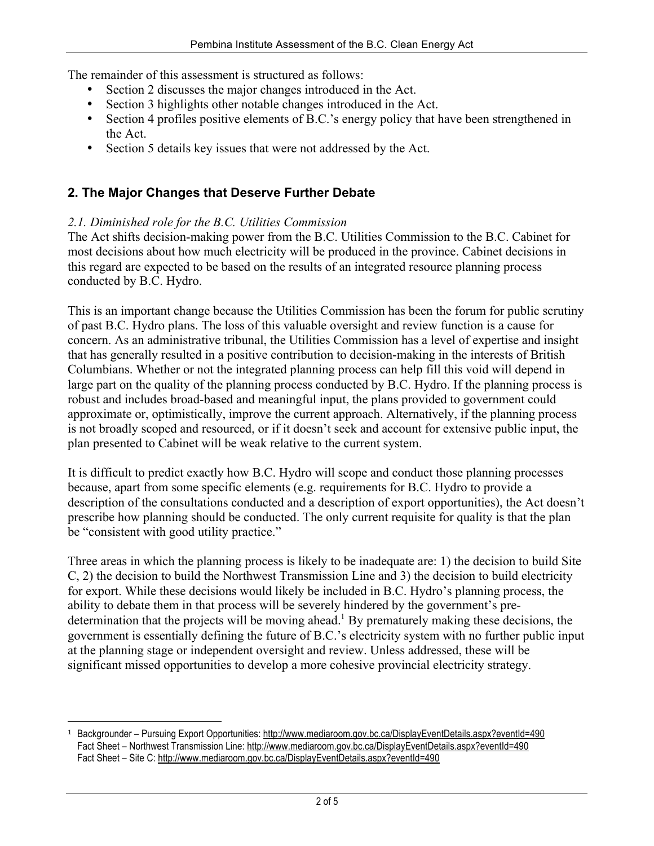The remainder of this assessment is structured as follows:

- Section 2 discusses the major changes introduced in the Act.
- Section 3 highlights other notable changes introduced in the Act.
- Section 4 profiles positive elements of B.C.'s energy policy that have been strengthened in the Act.
- Section 5 details key issues that were not addressed by the Act.

#### **2. The Major Changes that Deserve Further Debate**

#### *2.1. Diminished role for the B.C. Utilities Commission*

<u>.</u>

The Act shifts decision-making power from the B.C. Utilities Commission to the B.C. Cabinet for most decisions about how much electricity will be produced in the province. Cabinet decisions in this regard are expected to be based on the results of an integrated resource planning process conducted by B.C. Hydro.

This is an important change because the Utilities Commission has been the forum for public scrutiny of past B.C. Hydro plans. The loss of this valuable oversight and review function is a cause for concern. As an administrative tribunal, the Utilities Commission has a level of expertise and insight that has generally resulted in a positive contribution to decision-making in the interests of British Columbians. Whether or not the integrated planning process can help fill this void will depend in large part on the quality of the planning process conducted by B.C. Hydro. If the planning process is robust and includes broad-based and meaningful input, the plans provided to government could approximate or, optimistically, improve the current approach. Alternatively, if the planning process is not broadly scoped and resourced, or if it doesn't seek and account for extensive public input, the plan presented to Cabinet will be weak relative to the current system.

It is difficult to predict exactly how B.C. Hydro will scope and conduct those planning processes because, apart from some specific elements (e.g. requirements for B.C. Hydro to provide a description of the consultations conducted and a description of export opportunities), the Act doesn't prescribe how planning should be conducted. The only current requisite for quality is that the plan be "consistent with good utility practice."

Three areas in which the planning process is likely to be inadequate are: 1) the decision to build Site C, 2) the decision to build the Northwest Transmission Line and 3) the decision to build electricity for export. While these decisions would likely be included in B.C. Hydro's planning process, the ability to debate them in that process will be severely hindered by the government's predetermination that the projects will be moving ahead.<sup>1</sup> By prematurely making these decisions, the government is essentially defining the future of B.C.'s electricity system with no further public input at the planning stage or independent oversight and review. Unless addressed, these will be significant missed opportunities to develop a more cohesive provincial electricity strategy.

<sup>1</sup> Backgrounder – Pursuing Export Opportunities: http://www.mediaroom.gov.bc.ca/DisplayEventDetails.aspx?eventId=490 Fact Sheet - Northwest Transmission Line: http://www.mediaroom.gov.bc.ca/DisplayEventDetails.aspx?eventId=490 Fact Sheet – Site C: http://www.mediaroom.gov.bc.ca/DisplayEventDetails.aspx?eventId=490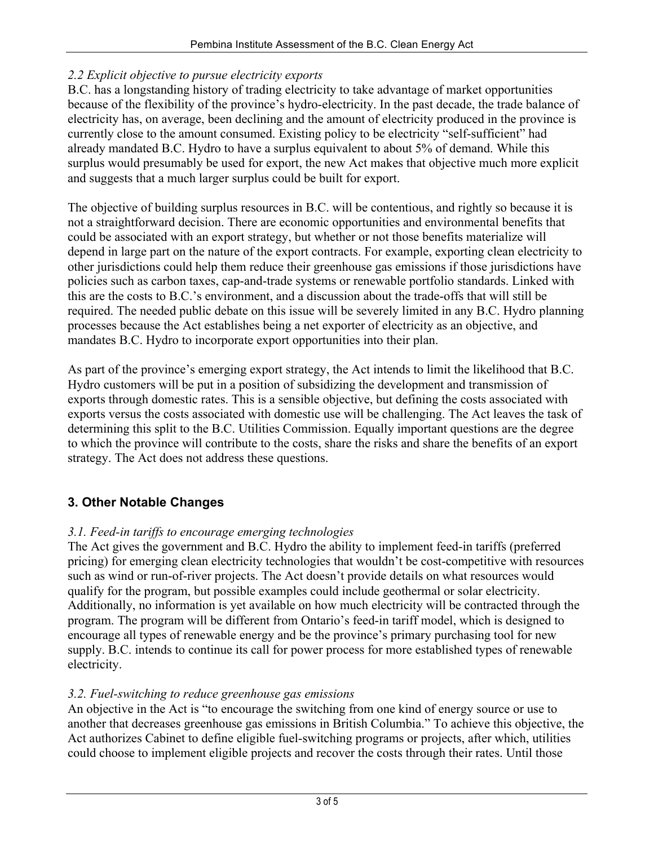#### *2.2 Explicit objective to pursue electricity exports*

B.C. has a longstanding history of trading electricity to take advantage of market opportunities because of the flexibility of the province's hydro-electricity. In the past decade, the trade balance of electricity has, on average, been declining and the amount of electricity produced in the province is currently close to the amount consumed. Existing policy to be electricity "self-sufficient" had already mandated B.C. Hydro to have a surplus equivalent to about 5% of demand. While this surplus would presumably be used for export, the new Act makes that objective much more explicit and suggests that a much larger surplus could be built for export.

The objective of building surplus resources in B.C. will be contentious, and rightly so because it is not a straightforward decision. There are economic opportunities and environmental benefits that could be associated with an export strategy, but whether or not those benefits materialize will depend in large part on the nature of the export contracts. For example, exporting clean electricity to other jurisdictions could help them reduce their greenhouse gas emissions if those jurisdictions have policies such as carbon taxes, cap-and-trade systems or renewable portfolio standards. Linked with this are the costs to B.C.'s environment, and a discussion about the trade-offs that will still be required. The needed public debate on this issue will be severely limited in any B.C. Hydro planning processes because the Act establishes being a net exporter of electricity as an objective, and mandates B.C. Hydro to incorporate export opportunities into their plan.

As part of the province's emerging export strategy, the Act intends to limit the likelihood that B.C. Hydro customers will be put in a position of subsidizing the development and transmission of exports through domestic rates. This is a sensible objective, but defining the costs associated with exports versus the costs associated with domestic use will be challenging. The Act leaves the task of determining this split to the B.C. Utilities Commission. Equally important questions are the degree to which the province will contribute to the costs, share the risks and share the benefits of an export strategy. The Act does not address these questions.

## **3. Other Notable Changes**

### *3.1. Feed-in tariffs to encourage emerging technologies*

The Act gives the government and B.C. Hydro the ability to implement feed-in tariffs (preferred pricing) for emerging clean electricity technologies that wouldn't be cost-competitive with resources such as wind or run-of-river projects. The Act doesn't provide details on what resources would qualify for the program, but possible examples could include geothermal or solar electricity. Additionally, no information is yet available on how much electricity will be contracted through the program. The program will be different from Ontario's feed-in tariff model, which is designed to encourage all types of renewable energy and be the province's primary purchasing tool for new supply. B.C. intends to continue its call for power process for more established types of renewable electricity.

### *3.2. Fuel-switching to reduce greenhouse gas emissions*

An objective in the Act is "to encourage the switching from one kind of energy source or use to another that decreases greenhouse gas emissions in British Columbia." To achieve this objective, the Act authorizes Cabinet to define eligible fuel-switching programs or projects, after which, utilities could choose to implement eligible projects and recover the costs through their rates. Until those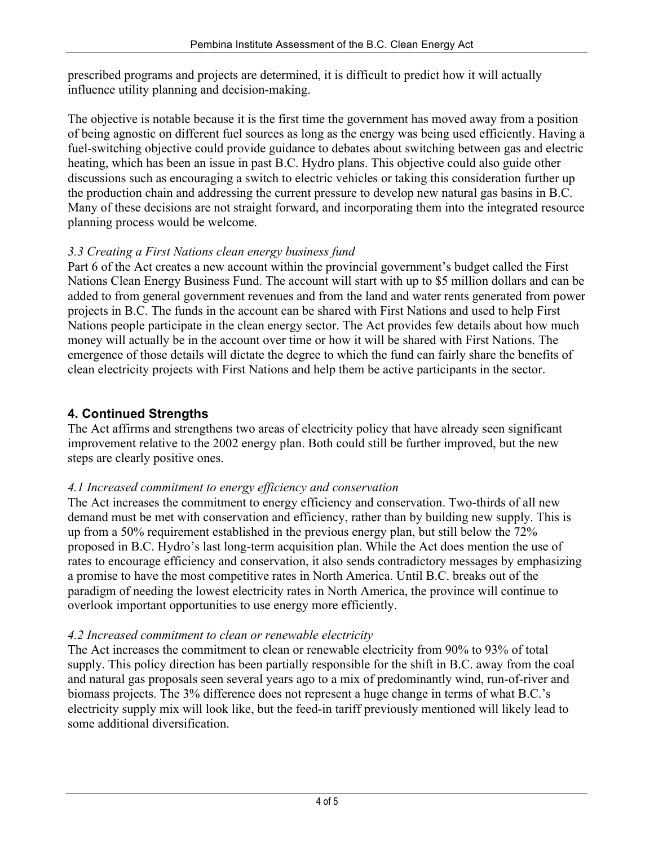prescribed programs and projects are determined, it is difficult to predict how it will actually influence utility planning and decision-making.

The objective is notable because it is the first time the government has moved away from a position of being agnostic on different fuel sources as long as the energy was being used efficiently. Having a fuel-switching objective could provide guidance to debates about switching between gas and electric heating, which has been an issue in past B.C. Hydro plans. This objective could also guide other discussions such as encouraging a switch to electric vehicles or taking this consideration further up the production chain and addressing the current pressure to develop new natural gas basins in B.C. Many of these decisions are not straight forward, and incorporating them into the integrated resource planning process would be welcome.

### *3.3 Creating a First Nations clean energy business fund*

Part 6 of the Act creates a new account within the provincial government's budget called the First Nations Clean Energy Business Fund. The account will start with up to \$5 million dollars and can be added to from general government revenues and from the land and water rents generated from power projects in B.C. The funds in the account can be shared with First Nations and used to help First Nations people participate in the clean energy sector. The Act provides few details about how much money will actually be in the account over time or how it will be shared with First Nations. The emergence of those details will dictate the degree to which the fund can fairly share the benefits of clean electricity projects with First Nations and help them be active participants in the sector.

## **4. Continued Strengths**

The Act affirms and strengthens two areas of electricity policy that have already seen significant improvement relative to the 2002 energy plan. Both could still be further improved, but the new steps are clearly positive ones.

## *4.1 Increased commitment to energy efficiency and conservation*

The Act increases the commitment to energy efficiency and conservation. Two-thirds of all new demand must be met with conservation and efficiency, rather than by building new supply. This is up from a 50% requirement established in the previous energy plan, but still below the 72% proposed in B.C. Hydro's last long-term acquisition plan. While the Act does mention the use of rates to encourage efficiency and conservation, it also sends contradictory messages by emphasizing a promise to have the most competitive rates in North America. Until B.C. breaks out of the paradigm of needing the lowest electricity rates in North America, the province will continue to overlook important opportunities to use energy more efficiently.

## *4.2 Increased commitment to clean or renewable electricity*

The Act increases the commitment to clean or renewable electricity from 90% to 93% of total supply. This policy direction has been partially responsible for the shift in B.C. away from the coal and natural gas proposals seen several years ago to a mix of predominantly wind, run-of-river and biomass projects. The 3% difference does not represent a huge change in terms of what B.C.'s electricity supply mix will look like, but the feed-in tariff previously mentioned will likely lead to some additional diversification.